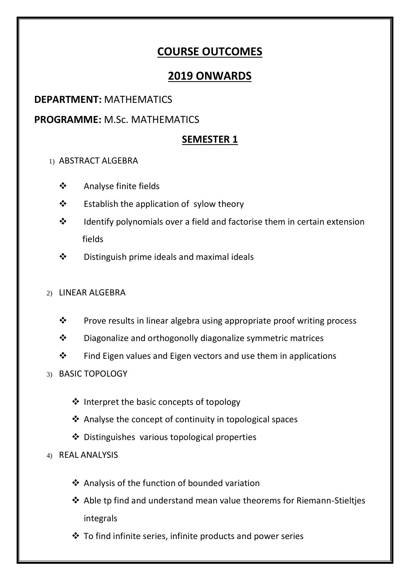# **COURSE OUTCOMES**

# **2019 ONWARDS**

# **DEPARTMENT:** MATHEMATICS

# **PROGRAMME:** M.Sc. MATHEMATICS

# **SEMESTER 1**

## 1) ABSTRACT ALGEBRA

- Analyse finite fields
- $\div$  Establish the application of sylow theory
- $\cdot$  Identify polynomials over a field and factorise them in certain extension fields
- $\div$  Distinguish prime ideals and maximal ideals

## 2) LINEAR ALGEBRA

- ❖ Prove results in linear algebra using appropriate proof writing process
- Diagonalize and orthogonolly diagonalize symmetric matrices
- $\cdot \cdot$  Find Eigen values and Eigen vectors and use them in applications
- 3) BASIC TOPOLOGY
	- $\triangleq$  Interpret the basic concepts of topology
	- $\triangle$  Analyse the concept of continuity in topological spaces
	- Distinguishes various topological properties
- 4) REAL ANALYSIS
	- Analysis of the function of bounded variation
	- Able tp find and understand mean value theorems for Riemann-Stieltjes integrals
	- $\cdot$  To find infinite series, infinite products and power series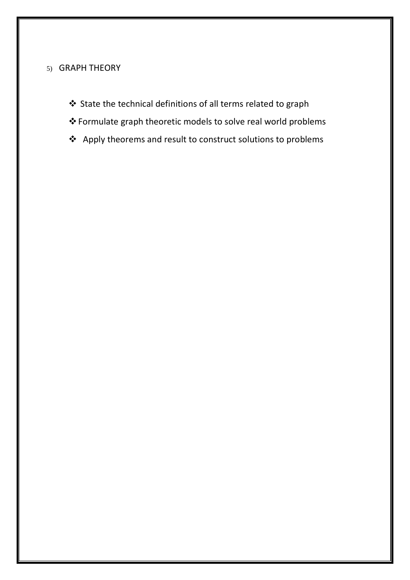### 5) GRAPH THEORY

- State the technical definitions of all terms related to graph
- Formulate graph theoretic models to solve real world problems
- Apply theorems and result to construct solutions to problems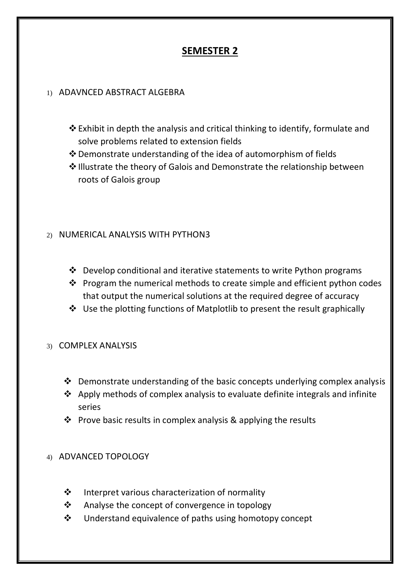# **SEMESTER 2**

#### 1) ADAVNCED ABSTRACT ALGEBRA

- $\triangle$  Exhibit in depth the analysis and critical thinking to identify, formulate and solve problems related to extension fields
- $\cdot$  Demonstrate understanding of the idea of automorphism of fields
- ❖ Illustrate the theory of Galois and Demonstrate the relationship between roots of Galois group

## 2) NUMERICAL ANALYSIS WITH PYTHON3

- $\triangle$  Develop conditional and iterative statements to write Python programs
- $\cdot \cdot$  Program the numerical methods to create simple and efficient python codes that output the numerical solutions at the required degree of accuracy
- Use the plotting functions of Matplotlib to present the result graphically

#### 3) COMPLEX ANALYSIS

- $\cdot$  Demonstrate understanding of the basic concepts underlying complex analysis
- $\triangle$  Apply methods of complex analysis to evaluate definite integrals and infinite series
- $\cdot$  Prove basic results in complex analysis & applying the results

#### 4) ADVANCED TOPOLOGY

- $\cdot$  Interpret various characterization of normality
- Analyse the concept of convergence in topology
- Understand equivalence of paths using homotopy concept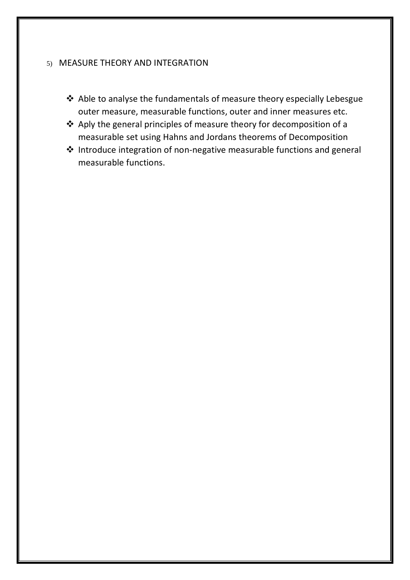#### 5) MEASURE THEORY AND INTEGRATION

- Able to analyse the fundamentals of measure theory especially Lebesgue outer measure, measurable functions, outer and inner measures etc.
- Aply the general principles of measure theory for decomposition of a measurable set using Hahns and Jordans theorems of Decomposition
- Introduce integration of non-negative measurable functions and general measurable functions.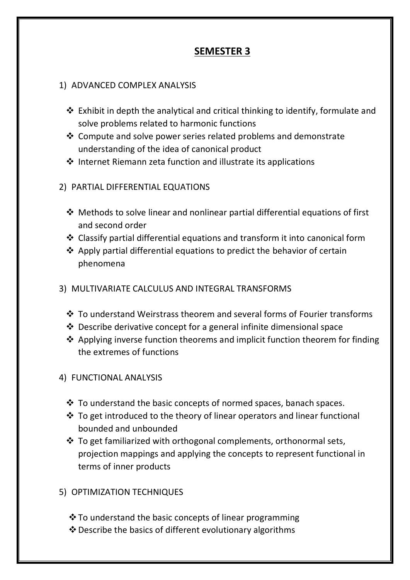# **SEMESTER 3**

#### 1) ADVANCED COMPLEX ANALYSIS

- $\triangle$  Exhibit in depth the analytical and critical thinking to identify, formulate and solve problems related to harmonic functions
- $\triangle$  Compute and solve power series related problems and demonstrate understanding of the idea of canonical product
- $\cdot$  Internet Riemann zeta function and illustrate its applications

## 2) PARTIAL DIFFERENTIAL EQUATIONS

- Methods to solve linear and nonlinear partial differential equations of first and second order
- Classify partial differential equations and transform it into canonical form
- $\triangle$  Apply partial differential equations to predict the behavior of certain phenomena
- 3) MULTIVARIATE CALCULUS AND INTEGRAL TRANSFORMS
	- To understand Weirstrass theorem and several forms of Fourier transforms
	- $\triangle$  Describe derivative concept for a general infinite dimensional space
	- $\triangle$  Applying inverse function theorems and implicit function theorem for finding the extremes of functions

## 4) FUNCTIONAL ANALYSIS

- \* To understand the basic concepts of normed spaces, banach spaces.
- $\cdot$  To get introduced to the theory of linear operators and linear functional bounded and unbounded
- To get familiarized with orthogonal complements, orthonormal sets, projection mappings and applying the concepts to represent functional in terms of inner products

## 5) OPTIMIZATION TECHNIQUES

- ❖ To understand the basic concepts of linear programming
- Describe the basics of different evolutionary algorithms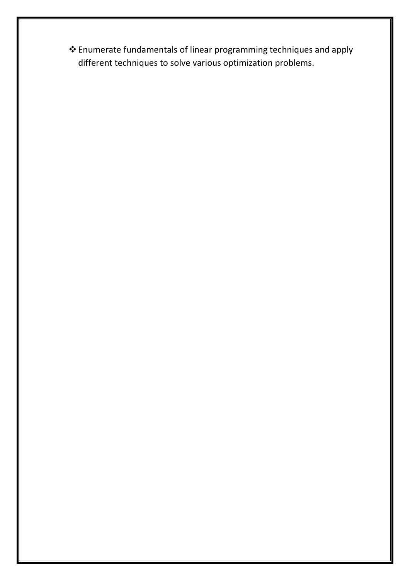Enumerate fundamentals of linear programming techniques and apply different techniques to solve various optimization problems.